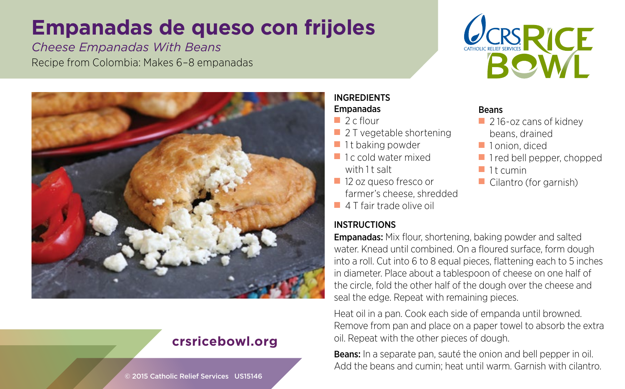# **Empanadas de queso con frijoles**

*Cheese Empanadas With Beans* Recipe from Colombia: Makes 6–8 empanadas





## **crsricebowl.org**

#### © 2015 Catholic Relief Services US15146

#### INGREDIENTS Empanadas

- $\Box$  2 c flour
- 2 T vegetable shortening
- $\blacksquare$  1t baking powder
- 1c cold water mixed with 1 t salt
- 12 oz queso fresco or farmer's cheese, shredded
- 4 T fair trade olive oil

### **INSTRUCTIONS**

### Empanadas: Mix flour, shortening, baking powder and salted water. Knead until combined. On a floured surface, form dough into a roll. Cut into 6 to 8 equal pieces, flattening each to 5 inches in diameter. Place about a tablespoon of cheese on one half of the circle, fold the other half of the dough over the cheese and seal the edge. Repeat with remaining pieces.

Heat oil in a pan. Cook each side of empanda until browned. Remove from pan and place on a paper towel to absorb the extra oil. Repeat with the other pieces of dough.

Beans: In a separate pan, sauté the onion and bell pepper in oil. Add the beans and cumin; heat until warm. Garnish with cilantro.

#### Beans

- 216-oz cans of kidney beans, drained
- 1 onion, diced
- 1 red bell pepper, chopped
- $\blacksquare$  1 t cumin
- Cilantro (for garnish)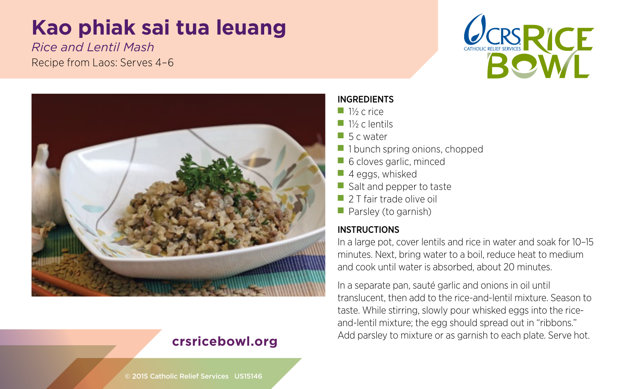# **Kao phiak sai tua leuang**

*Rice and Lentil Mash* Recipe from Laos: Serves 4–6





## **crsricebowl.org**

INGREDIENTS

- 1½ c rice
- 1½ c lentils
- 5 c water
- 1 bunch spring onions, chopped
- 6 cloves garlic, minced
- 4 eggs, whisked
- Salt and pepper to taste
- 2 T fair trade olive oil
- Parsley (to garnish)

## INSTRUCTIONS

In a large pot, cover lentils and rice in water and soak for 10–15 minutes. Next, bring water to a boil, reduce heat to medium and cook until water is absorbed, about 20 minutes.

In a separate pan, sauté garlic and onions in oil until translucent, then add to the rice-and-lentil mixture. Season to taste. While stirring, slowly pour whisked eggs into the riceand-lentil mixture; the egg should spread out in "ribbons." Add parsley to mixture or as garnish to each plate. Serve hot.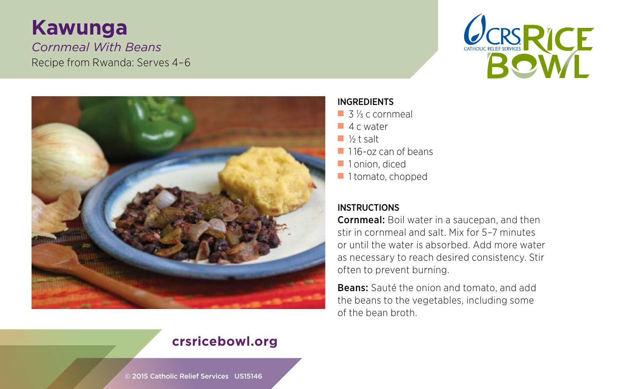# **Kawunga** *Cornmeal With Beans* Recipe from Rwanda: Serves 4–6





#### INGREDIENTS

- 3 <sup>1/2</sup> c cornmeal
- 4 c water
- ½ t salt
- 116-oz can of beans
- 1 onion, diced
- 1 tomato, chopped

### INSTRUCTIONS

Cornmeal: Boil water in a saucepan, and then stir in cornmeal and salt. Mix for 5–7 minutes or until the water is absorbed. Add more water as necessary to reach desired consistency. Stir often to prevent burning.

Beans: Sauté the onion and tomato, and add the beans to the vegetables, including some of the bean broth.

## **crsricebowl.org**

© 2015 Catholic Relief Services US15146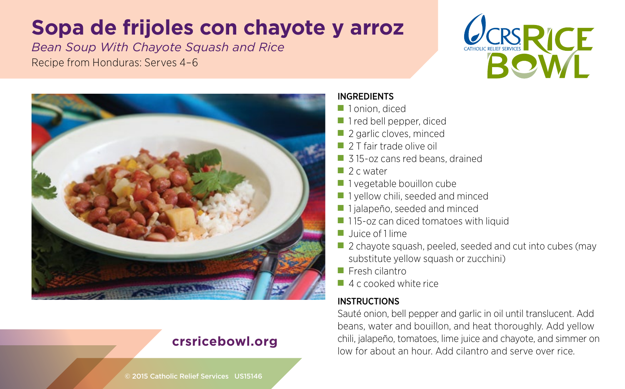# **Sopa de frijoles con chayote y arroz**

*Bean Soup With Chayote Squash and Rice* Recipe from Honduras: Serves 4–6





## **crsricebowl.org**

#### INGREDIENTS

- 1 onion, diced
- 1 red bell pepper, diced
- 2 garlic cloves, minced
- 2 T fair trade olive oil
- 315-oz cans red beans, drained
- 2 c water
- 1 vegetable bouillon cube
- 1 yellow chili, seeded and minced
- 1 jalapeño, seeded and minced
- 115-oz can diced tomatoes with liquid
- ■ Juice of 1 lime
- 2 chayote squash, peeled, seeded and cut into cubes (may substitute yellow squash or zucchini)
- Fresh cilantro
- 4 c cooked white rice

#### INSTRUCTIONS

Sauté onion, bell pepper and garlic in oil until translucent. Add beans, water and bouillon, and heat thoroughly. Add yellow chili, jalapeño, tomatoes, lime juice and chayote, and simmer on low for about an hour. Add cilantro and serve over rice.